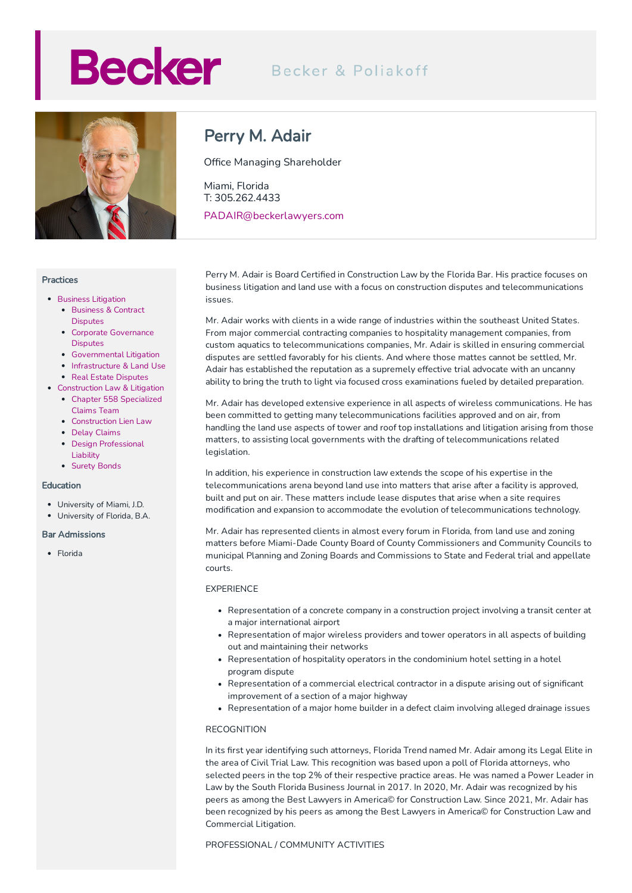# **Becker**

## Becker & Poliakoff



#### Practices

- **•** Business [Litigation](https://beckerlawyers.com/practices/business-litigation/)
	- [Business](https://beckerlawyers.com/practices/business-and-contract-disputes/) & Contract **Disputes**
	- Corporate [Governance](https://beckerlawyers.com/practices/corporate-governance-disputes/) **Disputes**
	- [Governmental](https://beckerlawyers.com/practices/governmental-litigation/) Litigation
	- [Infrastructure](https://beckerlawyers.com/practices/infrastructure-and-land-use/) & Land Use
	- Real Estate [Disputes](https://beckerlawyers.com/practices/real-estate-disputes/)
- [Construction](https://beckerlawyers.com/practices/construction-law-litigation/) Law & Litigation Chapter 558 [Specialized](https://beckerlawyers.com/practices/chapter-558-specialized-claims-team/)
	- Claims Team
	- [Construction](https://beckerlawyers.com/practices/construction-lien-law/) Lien Law
	- Delay [Claims](https://beckerlawyers.com/practices/delay-claims/)
	- Design [Professional](https://beckerlawyers.com/practices/design-professional-liability/) Liability
	- [Surety](https://beckerlawyers.com/practices/surety-bonds/) Bonds

#### Education

- University of Miami, J.D.
- University of Florida, B.A.

#### Bar Admissions

• Florida

### Perry M. Adair

Office Managing Shareholder

Miami, Florida T: 305.262.4433 PADAIR@beckerlawyers.com

Perry M. Adair is Board Certified in Construction Law by the Florida Bar. His practice focuses on business litigation and land use with a focus on construction disputes and telecommunications issues.

Mr. Adair works with clients in a wide range of industries within the southeast United States. From major commercial contracting companies to hospitality management companies, from custom aquatics to telecommunications companies, Mr. Adair is skilled in ensuring commercial disputes are settled favorably for his clients. And where those mattes cannot be settled, Mr. Adair has established the reputation as a supremely effective trial advocate with an uncanny ability to bring the truth to light via focused cross examinations fueled by detailed preparation.

Mr. Adair has developed extensive experience in all aspects of wireless communications. He has been committed to getting many telecommunications facilities approved and on air, from handling the land use aspects of tower and roof top installations and litigation arising from those matters, to assisting local governments with the drafting of telecommunications related legislation.

In addition, his experience in construction law extends the scope of his expertise in the telecommunications arena beyond land use into matters that arise after a facility is approved, built and put on air. These matters include lease disputes that arise when a site requires modification and expansion to accommodate the evolution of telecommunications technology.

Mr. Adair has represented clients in almost every forum in Florida, from land use and zoning matters before Miami-Dade County Board of County Commissioners and Community Councils to municipal Planning and Zoning Boards and Commissions to State and Federal trial and appellate courts.

#### EXPERIENCE

- Representation of a concrete company in a construction project involving a transit center at a major international airport
- Representation of major wireless providers and tower operators in all aspects of building out and maintaining their networks
- Representation of hospitality operators in the condominium hotel setting in a hotel program dispute
- Representation of a commercial electrical contractor in a dispute arising out of significant improvement of a section of a major highway
- Representation of a major home builder in a defect claim involving alleged drainage issues

#### RECOGNITION

In its first year identifying such attorneys, Florida Trend named Mr. Adair among its Legal Elite in the area of Civil Trial Law. This recognition was based upon a poll of Florida attorneys, who selected peers in the top 2% of their respective practice areas. He was named a Power Leader in Law by the South Florida Business Journal in 2017. In 2020, Mr. Adair was recognized by his peers as among the Best Lawyers in America© for Construction Law. Since 2021, Mr. Adair has been recognized by his peers as among the Best Lawyers in America© for Construction Law and Commercial Litigation.

#### PROFESSIONAL / COMMUNITY ACTIVITIES